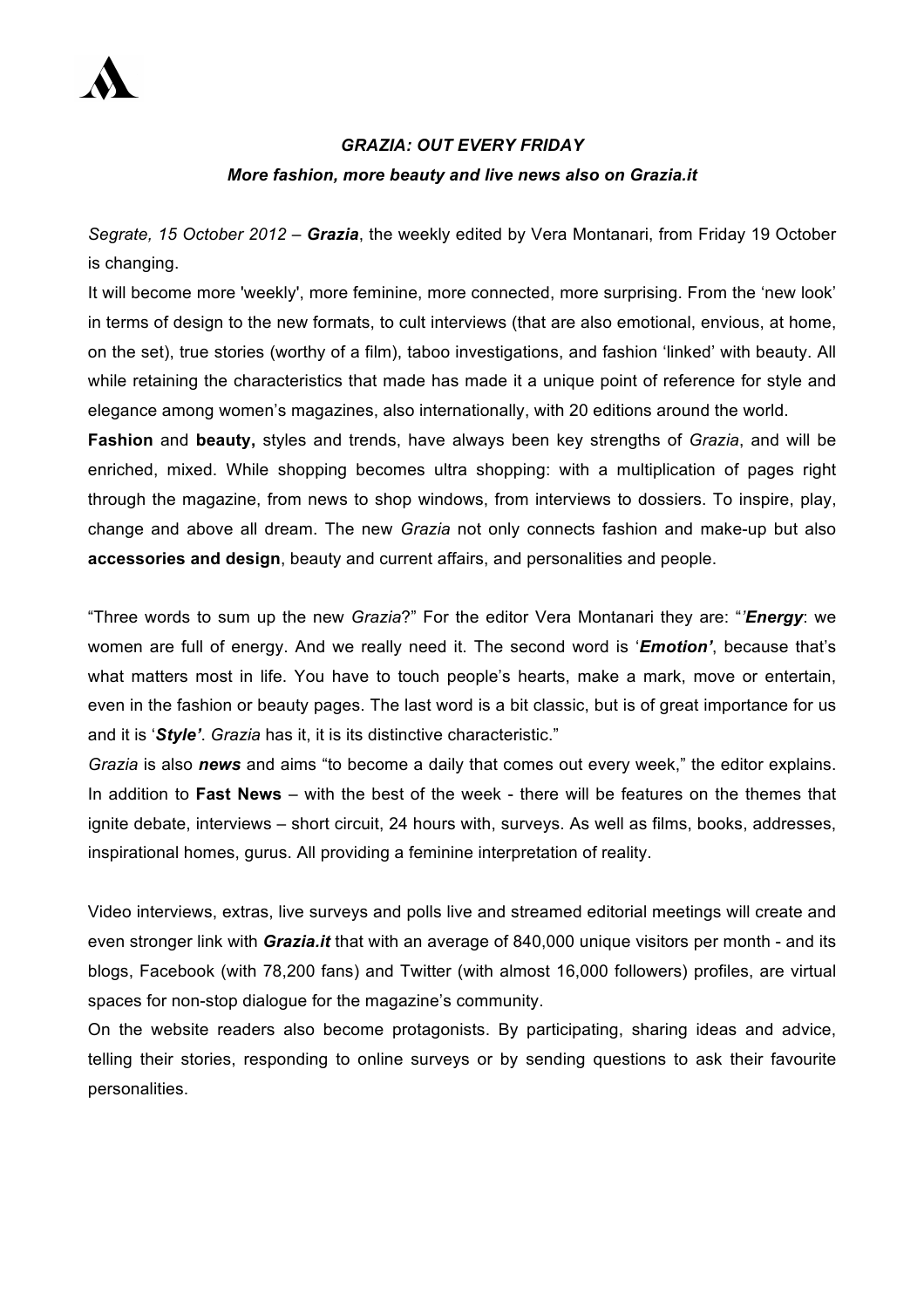

## *GRAZIA: OUT EVERY FRIDAY More fashion, more beauty and live news also on Grazia.it*

*Segrate, 15 October 2012 – Grazia*, the weekly edited by Vera Montanari, from Friday 19 October is changing.

It will become more 'weekly', more feminine, more connected, more surprising. From the 'new look' in terms of design to the new formats, to cult interviews (that are also emotional, envious, at home, on the set), true stories (worthy of a film), taboo investigations, and fashion 'linked' with beauty. All while retaining the characteristics that made has made it a unique point of reference for style and elegance among women's magazines, also internationally, with 20 editions around the world.

**Fashion** and **beauty,** styles and trends, have always been key strengths of *Grazia*, and will be enriched, mixed. While shopping becomes ultra shopping: with a multiplication of pages right through the magazine, from news to shop windows, from interviews to dossiers. To inspire, play, change and above all dream. The new *Grazia* not only connects fashion and make-up but also **accessories and design**, beauty and current affairs, and personalities and people.

"Three words to sum up the new *Grazia*?" For the editor Vera Montanari they are: "*'Energy*: we women are full of energy. And we really need it. The second word is '*Emotion'*, because that's what matters most in life. You have to touch people's hearts, make a mark, move or entertain, even in the fashion or beauty pages. The last word is a bit classic, but is of great importance for us and it is '*Style'*. *Grazia* has it, it is its distinctive characteristic."

*Grazia* is also *news* and aims "to become a daily that comes out every week," the editor explains. In addition to **Fast News** – with the best of the week - there will be features on the themes that ignite debate, interviews – short circuit, 24 hours with, surveys. As well as films, books, addresses, inspirational homes, gurus. All providing a feminine interpretation of reality.

Video interviews, extras, live surveys and polls live and streamed editorial meetings will create and even stronger link with *Grazia.it* that with an average of 840,000 unique visitors per month - and its blogs, Facebook (with 78,200 fans) and Twitter (with almost 16,000 followers) profiles, are virtual spaces for non-stop dialogue for the magazine's community.

On the website readers also become protagonists. By participating, sharing ideas and advice, telling their stories, responding to online surveys or by sending questions to ask their favourite personalities.